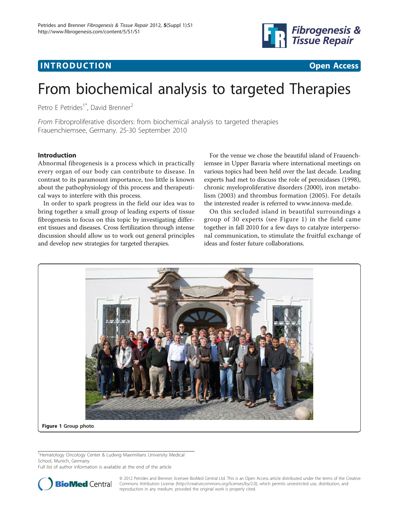# **INTRODUCTION CONSUMING THE CONSUMING TEACHER CONSUMING THE CONSUMING TEACHER CONSUMING THE CONSUMING TEACHER CONSUMING THE CONSUMING TEACHER CONSUMING THE CONSUMING TEACHER CONSUMING THE CONSUMING TEACHER CONSUMING THE**



# From biochemical analysis to targeted Therapies

Petro E Petrides<sup>1\*</sup>, David Brenner<sup>2</sup>

From Fibroproliferative disorders: from biochemical analysis to targeted therapies Frauenchiemsee, Germany. 25-30 September 2010

## Introduction

Abnormal fibrogenesis is a process which in practically every organ of our body can contribute to disease. In contrast to its paramount importance, too little is known about the pathophysiology of this process and therapeutical ways to interfere with this process.

In order to spark progress in the field our idea was to bring together a small group of leading experts of tissue fibrogenesis to focus on this topic by investigating different tissues and diseases. Cross fertilization through intense discussion should allow us to work out general principles and develop new strategies for targeted therapies.

For the venue we chose the beautiful island of Frauenchiemsee in Upper Bavaria where international meetings on various topics had been held over the last decade. Leading experts had met to discuss the role of peroxidases (1998), chronic myeloproliferative disorders (2000), iron metabolism (2003) and thrombus formation (2005). For details the interested reader is referred to www.innova-med.de.

On this secluded island in beautiful surroundings a group of 30 experts (see Figure 1) in the field came together in fall 2010 for a few days to catalyze interpersonal communication, to stimulate the fruitful exchange of ideas and foster future collaborations.



<sup>1</sup>Hematology Oncology Center & Ludwig Maximilians University Medical School, Munich, Germany

Full list of author information is available at the end of the article



© 2012 Petrides and Brenner; licensee BioMed Central Ltd. This is an Open Access article distributed under the terms of the Creative Commons Attribution License [\(http://creativecommons.org/licenses/by/2.0](http://creativecommons.org/licenses/by/2.0)), which permits unrestricted use, distribution, and reproduction in any medium, provided the original work is properly cited.